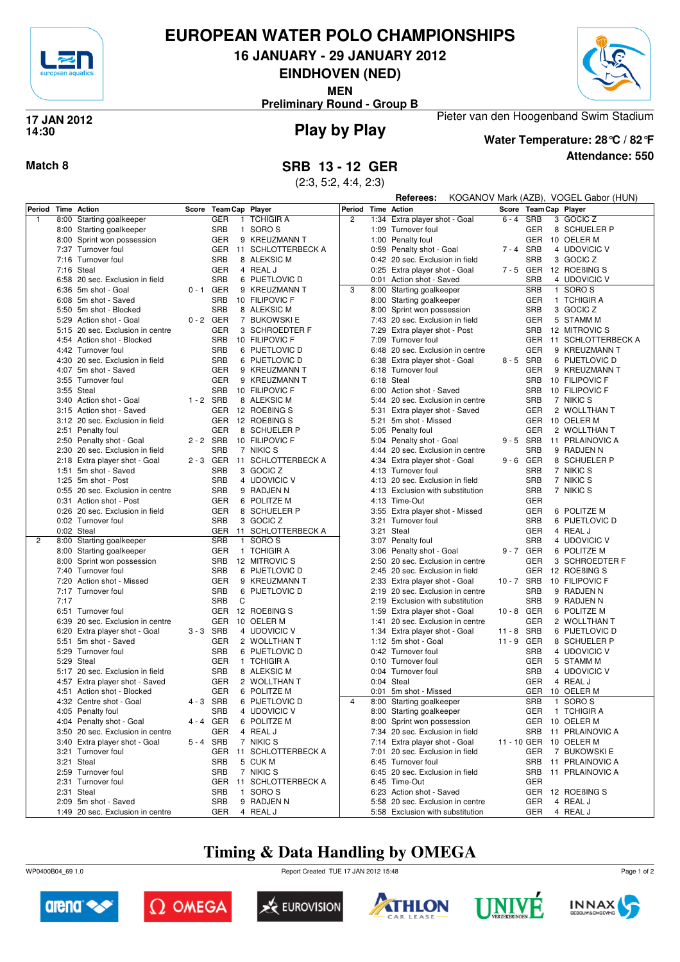

## **EUROPEAN WATER POLO CHAMPIONSHIPS**

**16 JANUARY - 29 JANUARY 2012**

**EINDHOVEN (NED)**

**MEN**

Pieter van den Hoogenband Swim Stadium **Preliminary Round - Group B**



### **Play by Play 17 JAN 2012 14:30**



**Water Temperature: 28°C / 82°F**

**Referees:** KOGANOV Mark (AZB), VOGEL Gabor (HUN)

**Attendance: 550**

**Match 8 SRB 13 - 12 GER**

(2:3, 5:2, 4:4, 2:3)

| Period Time Action |      |                                  | Score       | Team Cap Player            |                        | Period Time Action | .<br>$1.90$ $1.191$ $1.101$ $1.11$ |             |            | $\frac{1}{2}$<br>Score Team Cap Player |
|--------------------|------|----------------------------------|-------------|----------------------------|------------------------|--------------------|------------------------------------|-------------|------------|----------------------------------------|
|                    |      |                                  |             |                            |                        |                    |                                    |             |            |                                        |
| $\mathbf{1}$       |      | 8:00 Starting goalkeeper         |             | <b>GER</b><br>$\mathbf{1}$ | <b>TCHIGIR A</b>       | $\overline{2}$     | 1:34 Extra player shot - Goal      | $6 - 4$     | SRB        | 3 GOCIC Z                              |
|                    |      | 8:00 Starting goalkeeper         |             | <b>SRB</b>                 | 1 SORO S               |                    | 1:09 Turnover foul                 |             | <b>GER</b> | 8 SCHUELER P                           |
|                    |      | 8:00 Sprint won possession       |             | <b>GER</b>                 | 9 KREUZMANN T          |                    | 1:00 Penalty foul                  |             | <b>GER</b> | 10 OELER M                             |
|                    |      | 7:37 Turnover foul               |             | GER                        | 11 SCHLOTTERBECK A     |                    | 0:59 Penalty shot - Goal           | 7-4 SRB     |            | 4 UDOVICIC V                           |
|                    |      | 7:16 Turnover foul               |             | <b>SRB</b>                 | 8 ALEKSIC M            |                    | 0:42 20 sec. Exclusion in field    |             | <b>SRB</b> | 3 GOCIC Z                              |
|                    |      | 7:16 Steal                       |             | <b>GER</b>                 | 4 REAL J               |                    | 0:25 Extra player shot - Goal      | 7-5 GER     |            | 12 ROEBING S                           |
|                    |      | 6:58 20 sec. Exclusion in field  |             | <b>SRB</b>                 | 6 PIJETLOVIC D         |                    | 0:01 Action shot - Saved           |             | <b>SRB</b> | 4 UDOVICIC V                           |
|                    |      | 6:36 5m shot - Goal              | $0 - 1$     | GER                        | 9 KREUZMANN T          | 3                  | 8:00 Starting goalkeeper           |             | <b>SRB</b> | 1 SORO <sub>S</sub>                    |
|                    |      | 6:08 5m shot - Saved             |             | <b>SRB</b>                 | 10 FILIPOVIC F         |                    |                                    |             | <b>GER</b> | 1 TCHIGIR A                            |
|                    |      |                                  |             | <b>SRB</b>                 |                        |                    | 8:00 Starting goalkeeper           |             |            |                                        |
|                    |      | 5:50 5m shot - Blocked           |             |                            | 8 ALEKSIC M            |                    | 8:00 Sprint won possession         |             | <b>SRB</b> | 3 GOCIC Z                              |
|                    |      | 5:29 Action shot - Goal          | $0 - 2$ GER |                            | 7 BUKOWSKI E           |                    | 7:43 20 sec. Exclusion in field    |             | <b>GER</b> | 5 STAMM M                              |
|                    |      | 5:15 20 sec. Exclusion in centre |             | <b>GER</b>                 | 3 SCHROEDTER F         |                    | 7:29 Extra player shot - Post      |             | SRB        | 12 MITROVIC S                          |
|                    |      | 4:54 Action shot - Blocked       |             | SRB                        | 10 FILIPOVIC F         |                    | 7:09 Turnover foul                 |             | GER        | 11 SCHLOTTERBECK A                     |
|                    |      | 4:42 Turnover foul               |             | <b>SRB</b>                 | 6 PIJETLOVIC D         |                    | 6:48 20 sec. Exclusion in centre   |             | <b>GER</b> | 9 KREUZMANN T                          |
|                    |      | 4:30 20 sec. Exclusion in field  |             | <b>SRB</b>                 | 6 PIJETLOVIC D         |                    | 6:38 Extra player shot - Goal      | 8-5 SRB     |            | 6 PIJETLOVIC D                         |
|                    |      | 4:07 5m shot - Saved             |             | <b>GER</b>                 | 9 KREUZMANN T          |                    | 6:18 Turnover foul                 |             | <b>GER</b> | 9 KREUZMANN T                          |
|                    |      | 3:55 Turnover foul               |             | <b>GER</b>                 | 9 KREUZMANN T          |                    | 6:18 Steal                         |             | <b>SRB</b> | 10 FILIPOVIC F                         |
|                    |      | 3:55 Steal                       |             | SRB                        | 10 FILIPOVIC F         |                    | 6:00 Action shot - Saved           |             | <b>SRB</b> | 10 FILIPOVIC F                         |
|                    |      | 3:40 Action shot - Goal          | $1 - 2$ SRB |                            | 8 ALEKSIC M            |                    | 5:44 20 sec. Exclusion in centre   |             | <b>SRB</b> | 7 NIKIC S                              |
|                    |      | 3:15 Action shot - Saved         |             | GER                        | 12 ROEBING S           |                    | 5:31 Extra player shot - Saved     |             | <b>GER</b> | 2 WOLLTHAN T                           |
|                    |      |                                  |             |                            |                        |                    |                                    |             |            |                                        |
|                    |      | 3:12 20 sec. Exclusion in field  |             | <b>GER</b>                 | 12 ROEBING S           |                    | 5:21 5m shot - Missed              |             | <b>GER</b> | 10 OELER M                             |
|                    |      | 2:51 Penalty foul                |             | <b>GER</b>                 | 8 SCHUELER P           |                    | 5:05 Penalty foul                  |             | <b>GER</b> | 2 WOLLTHAN T                           |
|                    |      | 2:50 Penalty shot - Goal         | $2 - 2$ SRB |                            | 10 FILIPOVIC F         |                    | 5:04 Penalty shot - Goal           | $9 - 5$ SRB |            | 11 PRLAINOVIC A                        |
|                    |      | 2:30 20 sec. Exclusion in field  |             | <b>SRB</b>                 | 7 NIKIC S              |                    | 4:44 20 sec. Exclusion in centre   |             | <b>SRB</b> | 9 RADJEN N                             |
|                    |      | 2:18 Extra player shot - Goal    | 2-3 GER     |                            | 11 SCHLOTTERBECK A     |                    | 4:34 Extra player shot - Goal      | 9-6 GER     |            | 8 SCHUELER P                           |
|                    |      | 1:51 5m shot - Saved             |             | <b>SRB</b>                 | 3 GOCIC Z              |                    | 4:13 Turnover foul                 |             | <b>SRB</b> | 7 NIKIC S                              |
|                    |      | 1:25 5m shot - Post              |             | <b>SRB</b>                 | 4 UDOVICIC V           |                    | 4:13 20 sec. Exclusion in field    |             | <b>SRB</b> | 7 NIKIC S                              |
|                    |      | 0:55 20 sec. Exclusion in centre |             | <b>SRB</b>                 | 9 RADJEN N             |                    | 4:13 Exclusion with substitution   |             | <b>SRB</b> | 7 NIKIC S                              |
|                    |      | 0:31 Action shot - Post          |             | <b>GER</b>                 | 6 POLITZE M            |                    | 4:13 Time-Out                      |             | <b>GER</b> |                                        |
|                    |      | 0:26 20 sec. Exclusion in field  |             | GER                        | 8 SCHUELER P           |                    | 3:55 Extra player shot - Missed    |             | GER        | 6 POLITZE M                            |
|                    |      | 0:02 Turnover foul               |             | <b>SRB</b>                 | 3 GOCIC Z              |                    | 3:21 Turnover foul                 |             | <b>SRB</b> | 6 PIJETLOVIC D                         |
|                    |      |                                  |             |                            | GER 11 SCHLOTTERBECK A |                    | 3:21 Steal                         |             | <b>GER</b> | 4 REAL J                               |
|                    |      | 0:02 Steal                       |             | <b>SRB</b>                 |                        |                    |                                    |             | <b>SRB</b> |                                        |
| 2                  |      | 8:00 Starting goalkeeper         |             |                            | 1 SORO S               |                    | 3:07 Penalty foul                  |             |            | 4 UDOVICIC V                           |
|                    |      | 8:00 Starting goalkeeper         |             | <b>GER</b>                 | 1 TCHIGIR A            |                    | 3:06 Penalty shot - Goal           | 9-7 GER     |            | 6 POLITZE M                            |
|                    |      | 8:00 Sprint won possession       |             | <b>SRB</b>                 | 12 MITROVIC S          |                    | 2:50 20 sec. Exclusion in centre   |             | <b>GER</b> | 3 SCHROEDTER F                         |
|                    |      | 7:40 Turnover foul               |             | <b>SRB</b>                 | 6 PIJETLOVIC D         |                    | 2:45 20 sec. Exclusion in field    |             | <b>GER</b> | 12 ROEBING S                           |
|                    |      | 7:20 Action shot - Missed        |             | <b>GER</b>                 | 9 KREUZMANN T          |                    | 2:33 Extra player shot - Goal      | 10-7 SRB    |            | 10 FILIPOVIC F                         |
|                    |      | 7:17 Turnover foul               |             | <b>SRB</b>                 | 6 PIJETLOVIC D         |                    | 2:19 20 sec. Exclusion in centre   |             | <b>SRB</b> | 9 RADJEN N                             |
|                    | 7:17 |                                  |             | SRB<br>C                   |                        |                    | 2:19 Exclusion with substitution   |             | <b>SRB</b> | 9 RADJEN N                             |
|                    |      | 6:51 Turnover foul               |             | <b>GER</b>                 | 12 ROEBING S           |                    | 1:59 Extra player shot - Goal      | 10-8 GER    |            | 6 POLITZE M                            |
|                    |      | 6:39 20 sec. Exclusion in centre |             | <b>GER</b>                 | 10 OELER M             |                    | 1:41 20 sec. Exclusion in centre   |             | <b>GER</b> | 2 WOLLTHAN T                           |
|                    |      | 6:20 Extra player shot - Goal    | $3 - 3$ SRB |                            | 4 UDOVICIC V           |                    | 1:34 Extra player shot - Goal      | 11 - 8 SRB  |            | 6 PIJETLOVIC D                         |
|                    |      | 5:51 5m shot - Saved             |             | <b>GER</b>                 | 2 WOLLTHAN T           |                    | 1:12 5m shot - Goal                | 11 - 9 GER  |            | 8 SCHUELER P                           |
|                    |      | 5:29 Turnover foul               |             | <b>SRB</b>                 | 6 PIJETLOVIC D         |                    | 0:42 Turnover foul                 |             | <b>SRB</b> | 4 UDOVICIC V                           |
|                    |      | 5:29 Steal                       |             | <b>GER</b>                 | 1 TCHIGIR A            |                    | 0:10 Turnover foul                 |             | <b>GER</b> | 5 STAMM M                              |
|                    |      |                                  |             | <b>SRB</b>                 |                        |                    | 0:04 Turnover foul                 |             | <b>SRB</b> |                                        |
|                    |      | 5:17 20 sec. Exclusion in field  |             |                            | 8 ALEKSIC M            |                    |                                    |             |            | 4 UDOVICIC V                           |
|                    |      | 4:57 Extra player shot - Saved   |             | <b>GER</b>                 | 2 WOLLTHAN T           |                    | 0:04 Steal                         |             | GER        | 4 REAL J                               |
|                    |      | 4:51 Action shot - Blocked       |             | <b>GER</b>                 | 6 POLITZE M            |                    | 0:01 5m shot - Missed              |             | GER        | 10 OELER M                             |
|                    |      | 4:32 Centre shot - Goal          | 4-3 SRB     |                            | 6 PIJETLOVIC D         | $\overline{4}$     | 8:00 Starting goalkeeper           |             | <b>SRB</b> | 1 SORO <sub>S</sub>                    |
|                    |      | 4:05 Penalty foul                |             | SRB                        | 4 UDOVICIC V           |                    | 8:00 Starting goalkeeper           |             | GER        | 1 TCHIGIR A                            |
|                    |      | 4:04 Penalty shot - Goal         |             | 4 - 4 GER                  | 6 POLITZE M            |                    | 8:00 Sprint won possession         |             |            | GER 10 OELER M                         |
|                    |      | 3:50 20 sec. Exclusion in centre |             | GER                        | 4 REAL J               |                    | 7:34 20 sec. Exclusion in field    |             | SRB        | 11 PRLAINOVIC A                        |
|                    |      | 3:40 Extra player shot - Goal    | 5-4 SRB     |                            | 7 NIKIC S              |                    | 7:14 Extra player shot - Goal      |             |            | 11 - 10 GER 10 OELER M                 |
|                    |      | 3:21 Turnover foul               |             | GER                        | 11 SCHLOTTERBECK A     |                    | 7:01 20 sec. Exclusion in field    |             | GER        | 7 BUKOWSKI E                           |
|                    |      | 3:21 Steal                       |             | SRB                        | 5 CUK M                |                    | 6:45 Turnover foul                 |             | SRB        | 11 PRLAINOVIC A                        |
|                    |      | 2:59 Turnover foul               |             | SRB                        | 7 NIKIC S              |                    | 6:45 20 sec. Exclusion in field    |             | SRB        | 11 PRLAINOVIC A                        |
|                    |      | 2:31 Turnover foul               |             | GER                        | 11 SCHLOTTERBECK A     |                    | 6:45 Time-Out                      |             | <b>GER</b> |                                        |
|                    |      | 2:31 Steal                       |             | <b>SRB</b>                 | 1 SORO S               |                    | 6:23 Action shot - Saved           |             |            | GER 12 ROEBING S                       |
|                    |      |                                  |             |                            | 9 RADJEN N             |                    |                                    |             |            |                                        |
|                    |      | 2:09 5m shot - Saved             |             | SRB                        |                        |                    | 5:58 20 sec. Exclusion in centre   |             | GER        | 4 REAL J                               |
|                    |      | 1:49 20 sec. Exclusion in centre |             | GER                        | 4 REAL J               |                    | 5:58 Exclusion with substitution   |             | GER        | 4 REAL J                               |

## **Timing & Data Handling by OMEGA**

WP0400B04\_69 1.0 Report Created TUE 17 JAN 2012 15:48













Page 1 of 2